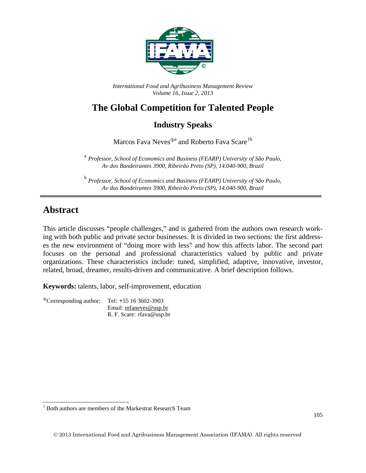

*International Food and Agribusiness Management Review Volume 16, Issue 2, 2013*

# **The Global Competition for Talented People**

### **Industry Speaks**

Marcos Fava Neves<sup>®a</sup> and Roberto Fava Scare<sup>[1](#page-3-0)b</sup>

<sup>a</sup> *Professor, School of Economics and Business (FEARP) University of São Paulo, Av dos Bandeirantes 3900, Ribeirão Preto (SP), 14.040-900, Brazil*

<sup>b</sup> *Professor, School of Economics and Business (FEARP) University of São Paulo, Av dos Bandeirantes 3900, Ribeirão Preto (SP), 14.040-900, Brazil*

## **Abstract**

This article discusses "people challenges," and is gathered from the authors own research working with both public and private sector businesses. It is divided in two sections: the first addresses the new environment of "doing more with less" and how this affects labor. The second part focuses on the personal and professional characteristics valued by public and private organizations. These characteristics include: tuned, simplified, adaptive, innovative, investor, related, broad, dreamer, results-driven and communicative. A brief description follows.

**Keywords:** talents, labor, self-improvement, education

Corresponding author: Tel: **+**55 16 3602-3903 Email: [mfaneves@usp.br](mailto:mfaneves@usp.br) R. F. Scare: rfava@usp.br

 <sup>1</sup> Both authors are members of the Markestrat Research Team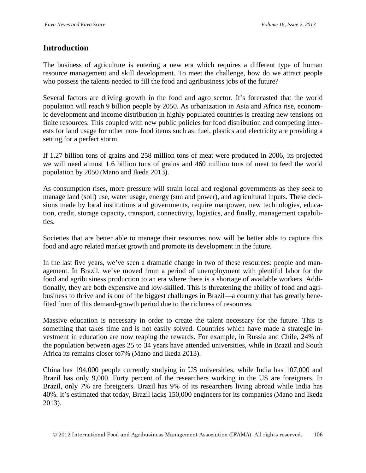#### **Introduction**

The business of agriculture is entering a new era which requires a different type of human resource management and skill development. To meet the challenge, how do we attract people who possess the talents needed to fill the food and agribusiness jobs of the future?

Several factors are driving growth in the food and agro sector. It's forecasted that the world population will reach 9 billion people by 2050. As urbanization in Asia and Africa rise, economic development and income distribution in highly populated countries is creating new tensions on finite resources. This coupled with new public policies for food distribution and competing interests for land usage for other non- food items such as: fuel, plastics and electricity are providing a setting for a perfect storm.

If 1.27 billion tons of grains and 258 million tons of meat were produced in 2006, its projected we will need almost 1.6 billion tons of grains and 460 million tons of meat to feed the world population by 2050 (Mano and Ikeda 2013).

As consumption rises, more pressure will strain local and regional governments as they seek to manage land (soil) use, water usage, energy (sun and power), and agricultural inputs. These decisions made by local institutions and governments, require manpower, new technologies, education, credit, storage capacity, transport, connectivity, logistics, and finally, management capabilities.

Societies that are better able to manage their resources now will be better able to capture this food and agro related market growth and promote its development in the future.

In the last five years, we've seen a dramatic change in two of these resources: people and management. In Brazil, we've moved from a period of unemployment with plentiful labor for the food and agribusiness production to an era where there is a shortage of available workers. Additionally, they are both expensive and low-skilled. This is threatening the ability of food and agribusiness to thrive and is one of the biggest challenges in Brazil—a country that has greatly benefited from of this demand-growth period due to the richness of resources.

Massive education is necessary in order to create the talent necessary for the future. This is something that takes time and is not easily solved. Countries which have made a strategic investment in education are now reaping the rewards. For example, in Russia and Chile, 24% of the population between ages 25 to 34 years have attended universities, while in Brazil and South Africa its remains closer to7% (Mano and Ikeda 2013).

China has 194,000 people currently studying in US universities, while India has 107,000 and Brazil has only 9,000. Forty percent of the researchers working in the US are foreigners. In Brazil, only 7% are foreigners. Brazil has 9% of its researchers living abroad while India has 40%. It's estimated that today, Brazil lacks 150,000 engineers for its companies (Mano and Ikeda 2013).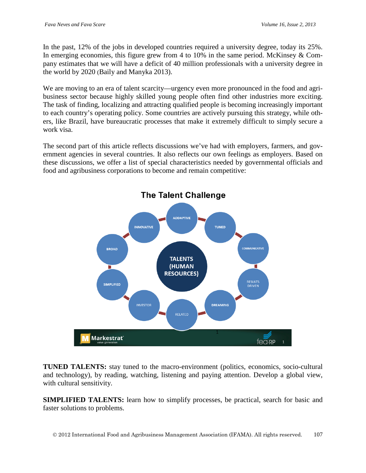In the past, 12% of the jobs in developed countries required a university degree, today its 25%. In emerging economies, this figure grew from 4 to 10% in the same period. McKinsey & Company estimates that we will have a deficit of 40 million professionals with a university degree in the world by 2020 (Baily and Manyka 2013).

We are moving to an era of talent scarcity—urgency even more pronounced in the food and agribusiness sector because highly skilled young people often find other industries more exciting. The task of finding, localizing and attracting qualified people is becoming increasingly important to each country's operating policy. Some countries are actively pursuing this strategy, while others, like Brazil, have bureaucratic processes that make it extremely difficult to simply secure a work visa.

The second part of this article reflects discussions we've had with employers, farmers, and government agencies in several countries. It also reflects our own feelings as employers. Based on these discussions, we offer a list of special characteristics needed by governmental officials and food and agribusiness corporations to become and remain competitive:



# **The Talent Challenge**

**TUNED TALENTS:** stay tuned to the macro-environment (politics, economics, socio-cultural and technology), by reading, watching, listening and paying attention. Develop a global view, with cultural sensitivity.

**SIMPLIFIED TALENTS:** learn how to simplify processes, be practical, search for basic and faster solutions to problems.